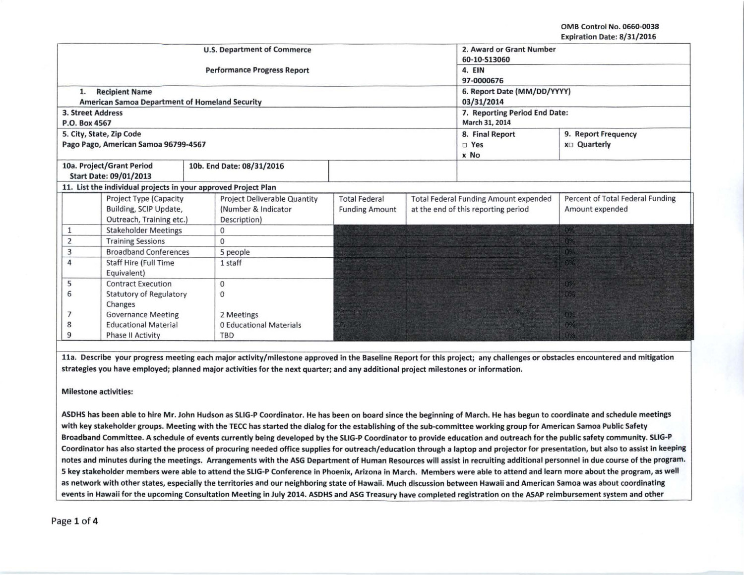OMB Control No. 0660-0038 Expiration Date: 8/31/2016

|                                                        |                                                                |                     | <b>U.S. Department of Commerce</b> | 2. Award or Grant Number      |                                     |                                              |                                  |
|--------------------------------------------------------|----------------------------------------------------------------|---------------------|------------------------------------|-------------------------------|-------------------------------------|----------------------------------------------|----------------------------------|
|                                                        |                                                                |                     |                                    | 60-10-513060                  |                                     |                                              |                                  |
|                                                        |                                                                |                     | <b>Performance Progress Report</b> | 4. EIN                        |                                     |                                              |                                  |
|                                                        |                                                                |                     |                                    | 97-0000676                    |                                     |                                              |                                  |
|                                                        | <b>Recipient Name</b>                                          |                     |                                    | 6. Report Date (MM/DD/YYYY)   |                                     |                                              |                                  |
|                                                        | American Samoa Department of Homeland Security                 |                     |                                    | 03/31/2014                    |                                     |                                              |                                  |
|                                                        | 3. Street Address                                              |                     |                                    | 7. Reporting Period End Date: |                                     |                                              |                                  |
|                                                        | P.O. Box 4567                                                  |                     |                                    | March 31, 2014                |                                     |                                              |                                  |
|                                                        | 5. City, State, Zip Code                                       |                     |                                    |                               |                                     | 8. Final Report                              | 9. Report Frequency              |
|                                                        | Pago Pago, American Samoa 96799-4567                           |                     |                                    |                               |                                     | $\square$ Yes                                | <b>x</b> <sup>D</sup> Quarterly  |
|                                                        |                                                                |                     |                                    |                               | x No                                |                                              |                                  |
|                                                        | 10a. Project/Grant Period                                      |                     | 10b. End Date: 08/31/2016          |                               |                                     |                                              |                                  |
|                                                        | <b>Start Date: 09/01/2013</b>                                  |                     |                                    |                               |                                     |                                              |                                  |
|                                                        | 11. List the individual projects in your approved Project Plan |                     |                                    |                               |                                     |                                              |                                  |
| Project Type (Capacity<br>Project Deliverable Quantity |                                                                |                     |                                    | <b>Total Federal</b>          |                                     | <b>Total Federal Funding Amount expended</b> | Percent of Total Federal Funding |
| Building, SCIP Update,                                 |                                                                | (Number & Indicator | <b>Funding Amount</b>              |                               | at the end of this reporting period | Amount expended                              |                                  |
| Outreach, Training etc.)                               |                                                                | Description)        |                                    |                               |                                     |                                              |                                  |
| <b>Stakeholder Meetings</b>                            |                                                                | $\mathbf 0$         |                                    |                               |                                     | .0%                                          |                                  |
| 2<br><b>Training Sessions</b>                          |                                                                | $\mathbf{0}$        |                                    |                               |                                     | Œ                                            |                                  |
| 3<br><b>Broadband Conferences</b>                      |                                                                | 5 people            |                                    |                               |                                     |                                              |                                  |
| 4<br><b>Staff Hire (Full Time</b>                      |                                                                | 1 staff             |                                    |                               |                                     |                                              |                                  |
|                                                        | Equivalent)                                                    |                     |                                    |                               |                                     |                                              |                                  |
| 5                                                      | <b>Contract Execution</b>                                      |                     | $\mathbf{0}$                       |                               |                                     |                                              | 1320                             |
| 6<br><b>Statutory of Regulatory</b>                    |                                                                | $\mathbf{0}$        |                                    |                               |                                     |                                              |                                  |
| Changes                                                |                                                                |                     |                                    |                               |                                     |                                              |                                  |
| <b>Governance Meeting</b>                              |                                                                | 2 Meetings          |                                    |                               |                                     | 025                                          |                                  |
| <b>Educational Material</b><br>8                       |                                                                |                     | 0 Educational Materials            |                               |                                     |                                              | 0%                               |
| 9<br><b>Phase II Activity</b>                          |                                                                |                     | <b>TBD</b>                         |                               |                                     |                                              | 38%                              |

lla. Describe your progress meeting each major activity/milestone approved in the Baseline Report for this project; any challenges or obstacles encountered and mitigation strategies you have employed; planned major activities for the next quarter; and any additional project milestones or information.

Milestone activities:

ASDHS has been able to hire Mr. John Hudson as SLIG-P Coordinator. He has been on board since the beginning of March. He has begun to coordinate and schedule meetings with key stakeholder groups. Meeting with the TECC has started the dialog for the establishing of the sub-committee working group for American Samoa Public Safety Broadband Committee. A schedule of events currently being developed by the SLIG-P Coordinator to provide education and outreach for the public safety community. SLIG-P Coordinator has also started the process of procuring needed office supplies for outreach/education through a laptop and projector for presentation, but also to assist in keeping notes and minutes during the meetings. Arrangements with the ASG Department of Human Resources will assist in recruiting additional personnel in due course of the program. 5 key stakeholder members were able to attend the SLIG-P Conference in Phoenix, Arizona in March. Members were able to attend and learn more about the program, as well as network with other states, especially the territories and our neighboring state of Hawaii. Much discussion between Hawaii and American Samoa was about coordinating events in Hawaii for the upcoming Consultation Meeting in July 2014. ASDHS and ASG Treasury have completed registration on the ASAP reimbursement system and other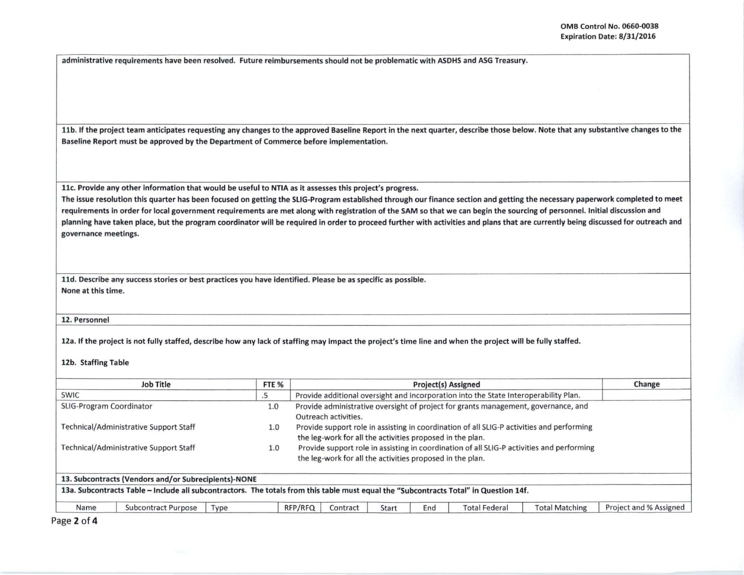administrative requirements have been resolved. Future reimbursements should not be problematic with ASDHS and ASG Treasury.

11b. If the project team anticipates requesting any changes to the approved Baseline Report in the next quarter, describe those below. Note that any substantive changes to the Baseline Report must be approved by the Department of Commerce before implementation.

llc. Provide any other information that would be useful to NTIA as it assesses this project's progress.

The issue resolution this quarter has been focused on getting the SLIG-Program established through our finance section and getting the necessary paperwork completed to meet requirements in order for local government requirements are met along with registration of the SAM so that we can begin the sourcing of personnel. Initial discussion and planning have taken place, but the program coordinator will be required in order to proceed further with activities and plans that are currently being discussed for outreach and governance meetings.

lld. Describe any success stories or best practices you have identif ied. Please be as specific as possible. None at this time.

12. Personnel

12a. If the project is not fully staffed, describe how any lack of staffing may impact the project's time line and when the project will be fully staffed.

12b. Staffing Table

| Job Title                                                                                                                             |                     | FTE <sub>%</sub>                                                                                                                                       |                                                                                                                                                        | <b>Project(s) Assigned</b>                                                                                 |              |     |                      |                       |                        |  |  |
|---------------------------------------------------------------------------------------------------------------------------------------|---------------------|--------------------------------------------------------------------------------------------------------------------------------------------------------|--------------------------------------------------------------------------------------------------------------------------------------------------------|------------------------------------------------------------------------------------------------------------|--------------|-----|----------------------|-----------------------|------------------------|--|--|
| <b>SWIC</b><br>.5                                                                                                                     |                     |                                                                                                                                                        |                                                                                                                                                        | Provide additional oversight and incorporation into the State Interoperability Plan.                       |              |     |                      |                       |                        |  |  |
| <b>SLIG-Program Coordinator</b><br>1.0                                                                                                |                     |                                                                                                                                                        |                                                                                                                                                        | Provide administrative oversight of project for grants management, governance, and<br>Outreach activities. |              |     |                      |                       |                        |  |  |
| Technical/Administrative Support Staff<br>1.0                                                                                         |                     |                                                                                                                                                        | Provide support role in assisting in coordination of all SLIG-P activities and performing<br>the leg-work for all the activities proposed in the plan. |                                                                                                            |              |     |                      |                       |                        |  |  |
| Technical/Administrative Support Staff                                                                                                | 1.0                 | Provide support role in assisting in coordination of all SLIG-P activities and performing<br>the leg-work for all the activities proposed in the plan. |                                                                                                                                                        |                                                                                                            |              |     |                      |                       |                        |  |  |
| 13. Subcontracts (Vendors and/or Subrecipients)-NONE                                                                                  |                     |                                                                                                                                                        |                                                                                                                                                        |                                                                                                            |              |     |                      |                       |                        |  |  |
| 13a. Subcontracts Table - Include all subcontractors. The totals from this table must equal the "Subcontracts Total" in Question 14f. |                     |                                                                                                                                                        |                                                                                                                                                        |                                                                                                            |              |     |                      |                       |                        |  |  |
| Name                                                                                                                                  | Subcontract Purpose | Type                                                                                                                                                   | RFP/RFQ                                                                                                                                                | Contract                                                                                                   | <b>Start</b> | End | <b>Total Federal</b> | <b>Total Matching</b> | Project and % Assigned |  |  |

Page 2 of 4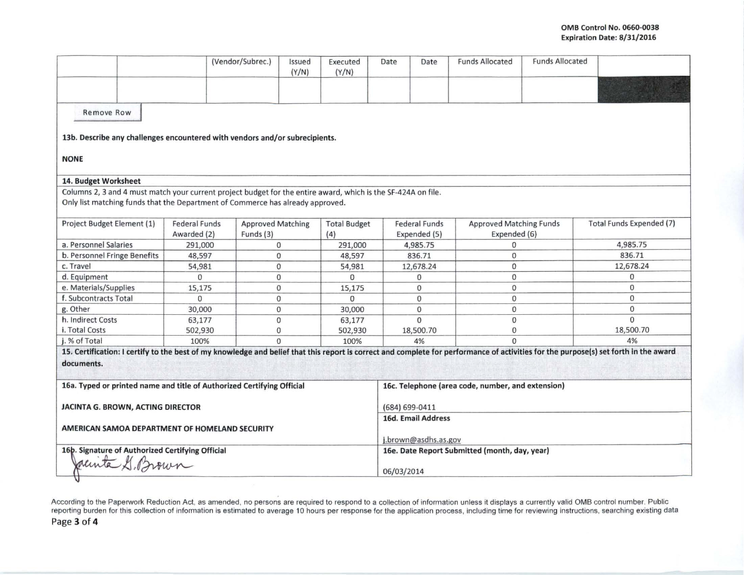|                                                                                                                                                                                                    |                                     | (Vendor/Subrec.)                      | Issued<br>(Y/N) | Executed<br>(Y/N)          | Date           | Date                                              | <b>Funds Allocated</b>                         | <b>Funds Allocated</b> |                          |  |  |
|----------------------------------------------------------------------------------------------------------------------------------------------------------------------------------------------------|-------------------------------------|---------------------------------------|-----------------|----------------------------|----------------|---------------------------------------------------|------------------------------------------------|------------------------|--------------------------|--|--|
| Remove Row<br>13b. Describe any challenges encountered with vendors and/or subrecipients.<br><b>NONE</b>                                                                                           |                                     |                                       |                 |                            |                |                                                   |                                                |                        |                          |  |  |
| 14. Budget Worksheet                                                                                                                                                                               |                                     |                                       |                 |                            |                |                                                   |                                                |                        |                          |  |  |
| Columns 2, 3 and 4 must match your current project budget for the entire award, which is the SF-424A on file.                                                                                      |                                     |                                       |                 |                            |                |                                                   |                                                |                        |                          |  |  |
| Only list matching funds that the Department of Commerce has already approved.                                                                                                                     |                                     |                                       |                 |                            |                |                                                   |                                                |                        |                          |  |  |
| Project Budget Element (1)                                                                                                                                                                         | <b>Federal Funds</b><br>Awarded (2) | <b>Approved Matching</b><br>Funds (3) |                 | <b>Total Budget</b><br>(4) |                | <b>Federal Funds</b><br>Expended (5)              | <b>Approved Matching Funds</b><br>Expended (6) |                        | Total Funds Expended (7) |  |  |
| a. Personnel Salaries                                                                                                                                                                              | 291,000                             | $\mathbf 0$                           |                 | 291,000                    |                | 4,985.75                                          | $\mathbf 0$                                    |                        | 4,985.75                 |  |  |
| b. Personnel Fringe Benefits                                                                                                                                                                       | 48,597                              | 0                                     |                 | 48,597                     |                | 836.71                                            | $\mathbf{0}$                                   |                        | 836.71                   |  |  |
| c. Travel                                                                                                                                                                                          | 54,981                              | $\mathbf{0}$                          |                 | 54,981                     |                | 12,678.24                                         | $\mathbf{0}$                                   |                        | 12,678.24                |  |  |
| d. Equipment                                                                                                                                                                                       | $\mathbf 0$                         | $\pmb{0}$                             |                 | $\mathbf{0}$               |                | 0                                                 | $\mathbf{0}$                                   |                        | 0                        |  |  |
| e. Materials/Supplies                                                                                                                                                                              | 15,175                              | $\mathbf 0$                           |                 | 15,175                     |                | $\mathbf 0$                                       | $\mathbf{O}$                                   |                        | 0                        |  |  |
| f. Subcontracts Total                                                                                                                                                                              | $\Omega$                            | $\mathbf{O}$                          |                 | $\Omega$                   |                | $\mathbf{0}$                                      | $\mathbf{0}$                                   |                        | $\Omega$                 |  |  |
| g. Other                                                                                                                                                                                           | 30,000                              | $\mathbf{0}$                          |                 | 30,000                     |                | $\mathbf{0}$                                      | $\mathbf{0}$                                   |                        | $\mathbf{O}$             |  |  |
| h. Indirect Costs                                                                                                                                                                                  | 63,177                              | $\mathbf 0$                           |                 | 63,177                     |                | $\Omega$                                          | $\mathbf{0}$                                   |                        | $\Omega$                 |  |  |
| i. Total Costs                                                                                                                                                                                     | 502,930                             | 0                                     |                 | 502,930                    |                | 18,500.70                                         | $\Omega$                                       |                        | 18,500.70                |  |  |
| i. % of Total                                                                                                                                                                                      | 100%                                | $\Omega$                              |                 | 100%                       |                | 4%                                                | $\Omega$                                       |                        | 4%                       |  |  |
| 15. Certification: I certify to the best of my knowledge and belief that this report is correct and complete for performance of activities for the purpose(s) set forth in the award<br>documents. |                                     |                                       |                 |                            |                |                                                   |                                                |                        |                          |  |  |
| 16a. Typed or printed name and title of Authorized Certifying Official                                                                                                                             |                                     |                                       |                 |                            |                | 16c. Telephone (area code, number, and extension) |                                                |                        |                          |  |  |
| JACINTA G. BROWN, ACTING DIRECTOR                                                                                                                                                                  |                                     |                                       |                 |                            | (684) 699-0411 |                                                   |                                                |                        |                          |  |  |
| AMERICAN SAMOA DEPARTMENT OF HOMELAND SECURITY                                                                                                                                                     |                                     |                                       |                 |                            |                | <b>16d. Email Address</b><br>j.brown@asdhs.as.gov |                                                |                        |                          |  |  |
|                                                                                                                                                                                                    |                                     |                                       |                 |                            |                | 16e. Date Report Submitted (month, day, year)     |                                                |                        |                          |  |  |
| 166. Signature of Authorized Certifying Official                                                                                                                                                   |                                     |                                       |                 |                            |                | 06/03/2014                                        |                                                |                        |                          |  |  |

According to the Paperwork Reduction Act. as amended, no persons are required to respond to a collection of information unless it displays a currently valid OMS control number. Public reporting burden for this collection of information is estimated to average 10 hours per response for the application process, including time for reviewing instructions, searching existing data